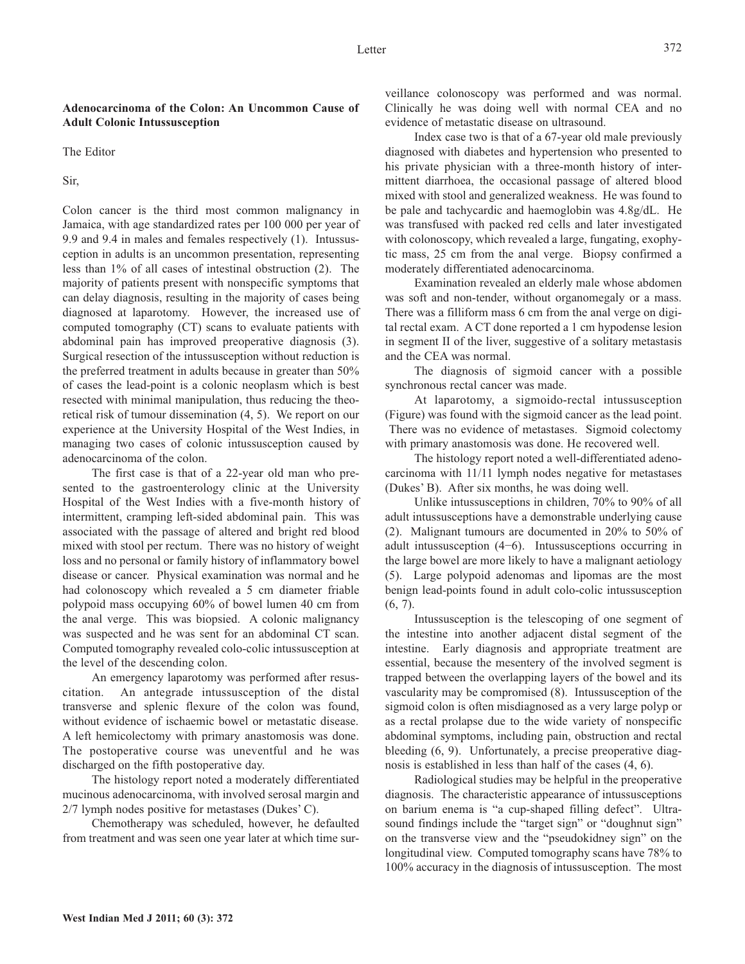## **Adenocarcinoma of the Colon: An Uncommon Cause of Adult Colonic Intussusception**

The Editor

Sir,

Colon cancer is the third most common malignancy in Jamaica, with age standardized rates per 100 000 per year of 9.9 and 9.4 in males and females respectively (1). Intussusception in adults is an uncommon presentation, representing less than 1% of all cases of intestinal obstruction (2). The majority of patients present with nonspecific symptoms that can delay diagnosis, resulting in the majority of cases being diagnosed at laparotomy. However, the increased use of computed tomography (CT) scans to evaluate patients with abdominal pain has improved preoperative diagnosis (3). Surgical resection of the intussusception without reduction is the preferred treatment in adults because in greater than 50% of cases the lead-point is a colonic neoplasm which is best resected with minimal manipulation, thus reducing the theoretical risk of tumour dissemination (4, 5). We report on our experience at the University Hospital of the West Indies, in managing two cases of colonic intussusception caused by adenocarcinoma of the colon.

The first case is that of a 22-year old man who presented to the gastroenterology clinic at the University Hospital of the West Indies with a five-month history of intermittent, cramping left-sided abdominal pain. This was associated with the passage of altered and bright red blood mixed with stool per rectum. There was no history of weight loss and no personal or family history of inflammatory bowel disease or cancer. Physical examination was normal and he had colonoscopy which revealed a 5 cm diameter friable polypoid mass occupying 60% of bowel lumen 40 cm from the anal verge. This was biopsied. A colonic malignancy was suspected and he was sent for an abdominal CT scan. Computed tomography revealed colo-colic intussusception at the level of the descending colon.

An emergency laparotomy was performed after resuscitation. An antegrade intussusception of the distal transverse and splenic flexure of the colon was found, without evidence of ischaemic bowel or metastatic disease. A left hemicolectomy with primary anastomosis was done. The postoperative course was uneventful and he was discharged on the fifth postoperative day.

The histology report noted a moderately differentiated mucinous adenocarcinoma, with involved serosal margin and 2/7 lymph nodes positive for metastases (Dukes' C).

Chemotherapy was scheduled, however, he defaulted from treatment and was seen one year later at which time surveillance colonoscopy was performed and was normal. Clinically he was doing well with normal CEA and no evidence of metastatic disease on ultrasound.

Index case two is that of a 67-year old male previously diagnosed with diabetes and hypertension who presented to his private physician with a three-month history of intermittent diarrhoea, the occasional passage of altered blood mixed with stool and generalized weakness. He was found to be pale and tachycardic and haemoglobin was 4.8g/dL. He was transfused with packed red cells and later investigated with colonoscopy, which revealed a large, fungating, exophytic mass, 25 cm from the anal verge. Biopsy confirmed a moderately differentiated adenocarcinoma.

Examination revealed an elderly male whose abdomen was soft and non-tender, without organomegaly or a mass. There was a filliform mass 6 cm from the anal verge on digital rectal exam. A CT done reported a 1 cm hypodense lesion in segment II of the liver, suggestive of a solitary metastasis and the CEA was normal.

The diagnosis of sigmoid cancer with a possible synchronous rectal cancer was made.

At laparotomy, a sigmoido-rectal intussusception (Figure) was found with the sigmoid cancer as the lead point. There was no evidence of metastases. Sigmoid colectomy with primary anastomosis was done. He recovered well.

The histology report noted a well-differentiated adenocarcinoma with 11/11 lymph nodes negative for metastases (Dukes' B). After six months, he was doing well.

Unlike intussusceptions in children, 70% to 90% of all adult intussusceptions have a demonstrable underlying cause (2). Malignant tumours are documented in 20% to 50% of adult intussusception (4−6). Intussusceptions occurring in the large bowel are more likely to have a malignant aetiology (5). Large polypoid adenomas and lipomas are the most benign lead-points found in adult colo-colic intussusception  $(6, 7)$ .

Intussusception is the telescoping of one segment of the intestine into another adjacent distal segment of the intestine. Early diagnosis and appropriate treatment are essential, because the mesentery of the involved segment is trapped between the overlapping layers of the bowel and its vascularity may be compromised (8). Intussusception of the sigmoid colon is often misdiagnosed as a very large polyp or as a rectal prolapse due to the wide variety of nonspecific abdominal symptoms, including pain, obstruction and rectal bleeding  $(6, 9)$ . Unfortunately, a precise preoperative diagnosis is established in less than half of the cases (4, 6).

Radiological studies may be helpful in the preoperative diagnosis. The characteristic appearance of intussusceptions on barium enema is "a cup-shaped filling defect". Ultrasound findings include the "target sign" or "doughnut sign" on the transverse view and the "pseudokidney sign" on the longitudinal view. Computed tomography scans have 78% to 100% accuracy in the diagnosis of intussusception. The most